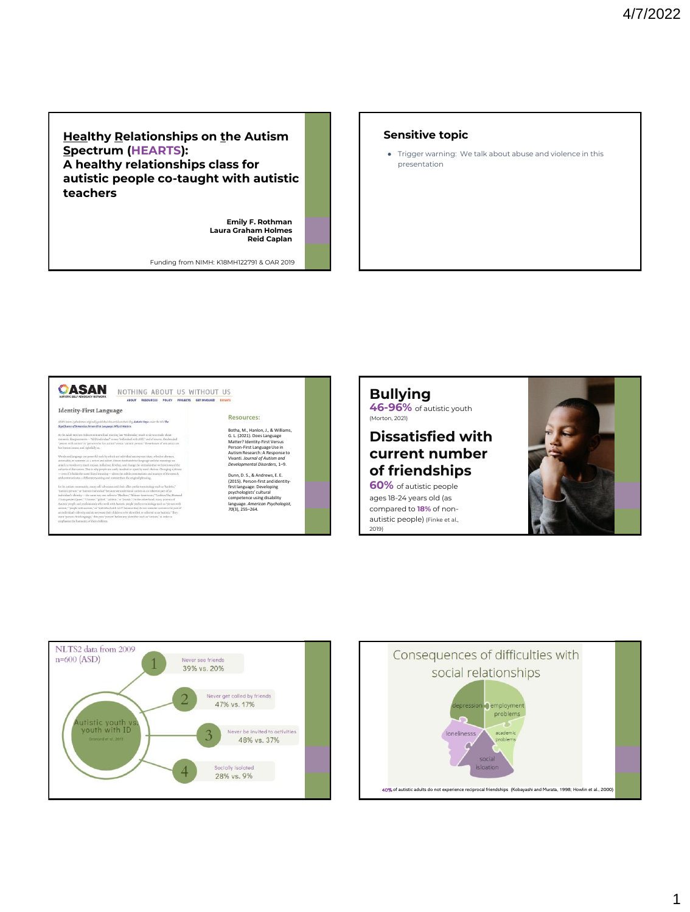## **Healthy Relationships on the Autism Spectrum (HEARTS): A healthy relationships class for autistic people co-taught with autistic teachers**

**Emily F. Rothman Laura Graham Holmes Reid Caplan**

Funding from NIMH: K18MH122791 & OAR 2019

#### **Sensitive topic**

● Trigger warning: We talk about abuse and violence in this presentation



# **Bullying**

**46-96%** of autistic youth (Morton, 2021)

# **Dissatisfied with current number of friendships**

**60%** of autistic people ages 18-24 years old (as compared to **18%** of nonautistic people) (Finke et al., 2019)





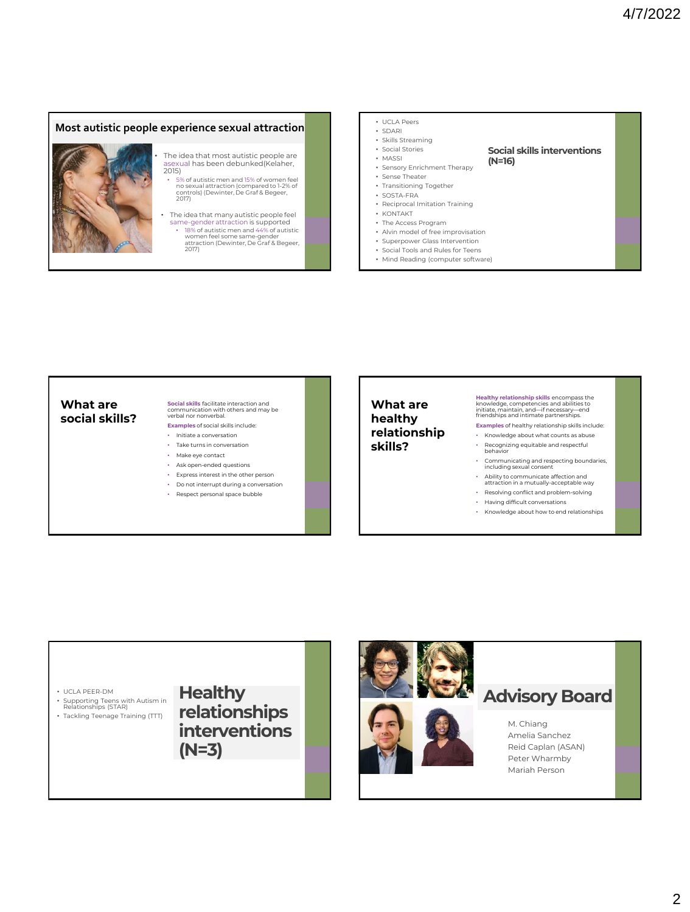### **Most autistic people experience sexual attraction**

The idea that most autistic people are asexual has been debunked(Kelaher, 2015)

> • 5% of autistic men and 15% of women feel no sexual attraction (compared to 1-2% of controls) (Dewinter, De Graf & Begeer, 2017)

- The idea that many autistic people feel same-gender attraction is supported
	- 18% of autistic men and 44% of autistic women feel some same-gender attraction (Dewinter, De Graf & Begeer, 2017)
- UCLA Peers
- SDARI
- Skills Streaming
- Social Stories
- MASSI
- Sensory Enrichment Therapy • Sense Theater

# **Social skills interventions**

- **(N=16)**
- Transitioning Together
- SOSTA-FRA
- Reciprocal Imitation Training
- KONTAKT • The Access Program
- Alvin model of free improvisation
- Superpower Glass Intervention
- Social Tools and Rules for Teens
- Mind Reading (computer software)

#### **What are social skills?**

# **Social skills** facilitate interaction and communication with others and may be verbal nor nonverbal.

- **Examples** of social skills include:
- Initiate a conversation • Take turns in conversation
- Make eye contact
- Ask open-ended questions
- Express interest in the other person
- Do not interrupt during a conversation
- Respect personal space bubble

### **What are healthy relationship skills?**

**Healthy relationship skills** encompass the knowledge, competencies and abilities to initiate, maintain, and—if necessary—end friendships and intimate partnerships.

**Examples** of healthy relationship skills include:

- Knowledge about what counts as abuse • Recognizing equitable and respectful behavior
- Communicating and respecting boundaries, including sexual consent
- Ability to communicate affection and attraction in a mutually-acceptable way
- Resolving conflict and problem-solving
- Having difficult conversations
- Knowledge about how to end relationships



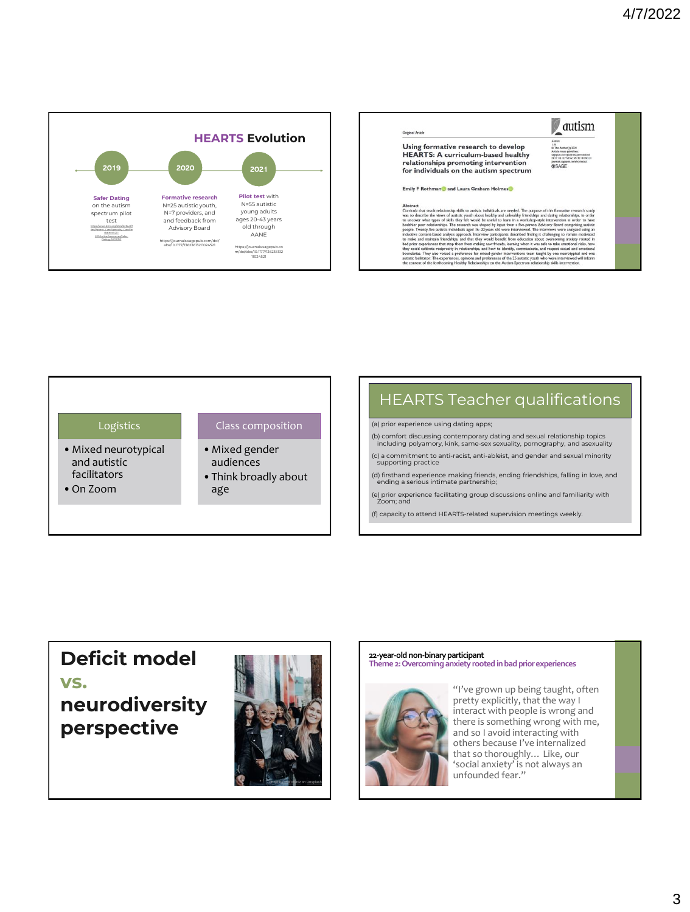





# HEARTS Teacher qualifications

(a) prior experience using dating apps;

- (b) comfort discussing contemporary dating and sexual relationship topics including polyamory, kink, same-sex sexuality, pornography, and asexuality
- (c) a commitment to anti-racist, anti-ableist, and gender and sexual minority supporting practice
- (d) firsthand experience making friends, ending friendships, falling in love, and ending a serious intimate partnership;
- (e) prior experience facilitating group discussions online and familiarity with Zoom; and

(f) capacity to attend HEARTS-related supervision meetings weekly.

# **Deficit model vs.**

**neurodiversity perspective**



# **22-year-old non-binary participant Theme 2: Overcoming anxiety rooted in bad prior experiences**



"I've grown up being taught, often pretty explicitly, that the way I interact with people is wrong and there is something wrong with me, and so I avoid interacting with others because I've internalized that so thoroughly… Like, our 'social anxiety' is not always an unfounded fear."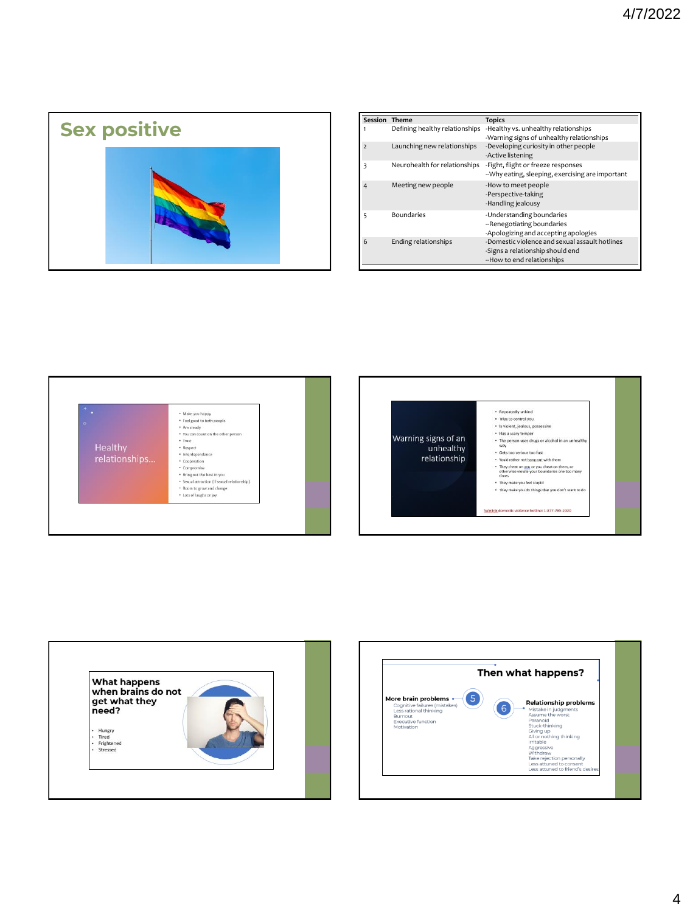

| Session Theme  |                                | <b>Topics</b>                                                                                                    |
|----------------|--------------------------------|------------------------------------------------------------------------------------------------------------------|
| 1              | Defining healthy relationships | -Healthy vs. unhealthy relationships                                                                             |
|                |                                | -Warning signs of unhealthy relationships                                                                        |
| $\mathcal{P}$  | Launching new relationships    | -Developing curiosity in other people<br>-Active listening                                                       |
| 3              | Neurohealth for relationships  | -Fight, flight or freeze responses<br>--Why eating, sleeping, exercising are important                           |
| $\overline{4}$ | Meeting new people             | -How to meet people<br>-Perspective-taking<br>-Handling jealousy                                                 |
| 5              | <b>Boundaries</b>              | -Understanding boundaries<br>--Renegotiating boundaries<br>-Apologizing and accepting apologies                  |
| 6              | Ending relationships           | -Domestic violence and sexual assault hotlines<br>-Signs a relationship should end<br>--How to end relationships |







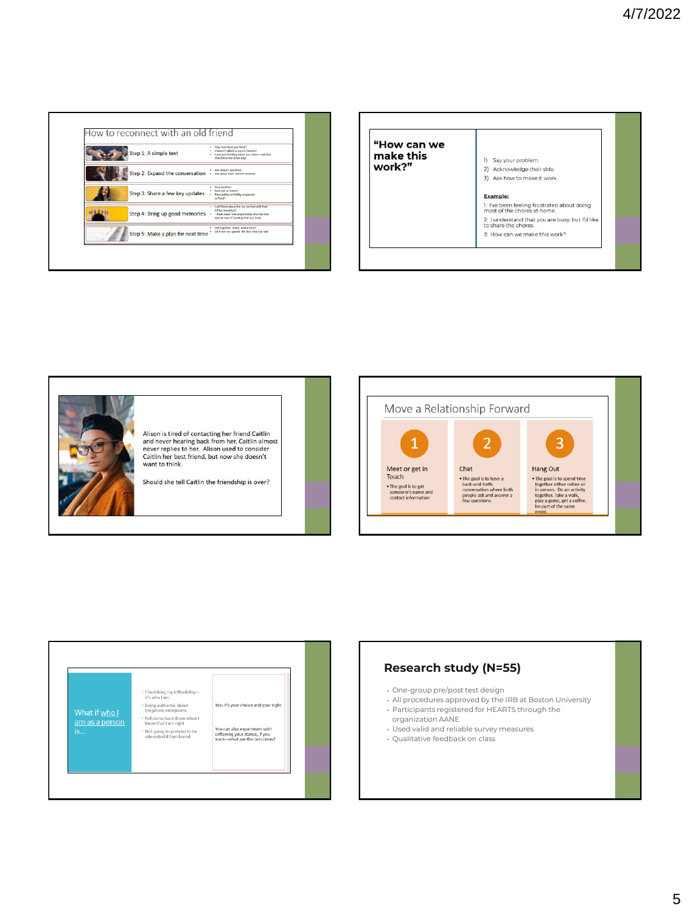| Step 1: A simple text             | . Hey, how have you been?<br>I haven't talked to you in forever!<br>. I was just thinking about you when I watched<br>The Office the other day!          |
|-----------------------------------|----------------------------------------------------------------------------------------------------------------------------------------------------------|
| Step 2: Expand the conversation   | Ask deeper questions<br>Ask about their current situation                                                                                                |
| Step 3: Share a few key updates   | Stay positive!<br>New job or home?<br>New author or hobby or passion<br>or food?                                                                         |
| Step 4: Bring up good memories    | . I still think about the fun we had with that<br>Office marathon!<br>I have never met anyone else who has that<br>special way of bowling that you have. |
| Step 5: Make a plan for next time | Get together; when, where how?<br>Ok if not too specific the first time you text                                                                         |

| "How can we<br>make this<br>work?" | Say your problem.<br>11<br>2) Acknowledge their side.<br>3) Ask how to make it work. |
|------------------------------------|--------------------------------------------------------------------------------------|
|                                    | <b>Example:</b>                                                                      |
|                                    | 1: I've been feeling frustrated about doing<br>most of the chores at home.           |
|                                    | 2: I understand that you are busy, but I'd like<br>to share the chores.              |
|                                    | 3: How can we make this work?                                                        |







# **Research study (N=55)**

- One-group pre/post test design
- All procedures approved by the IRB at Boston University • Participants registered for HEARTS through the
- organization AANE
- Used valid and reliable survey measures
- Qualitative feedback on class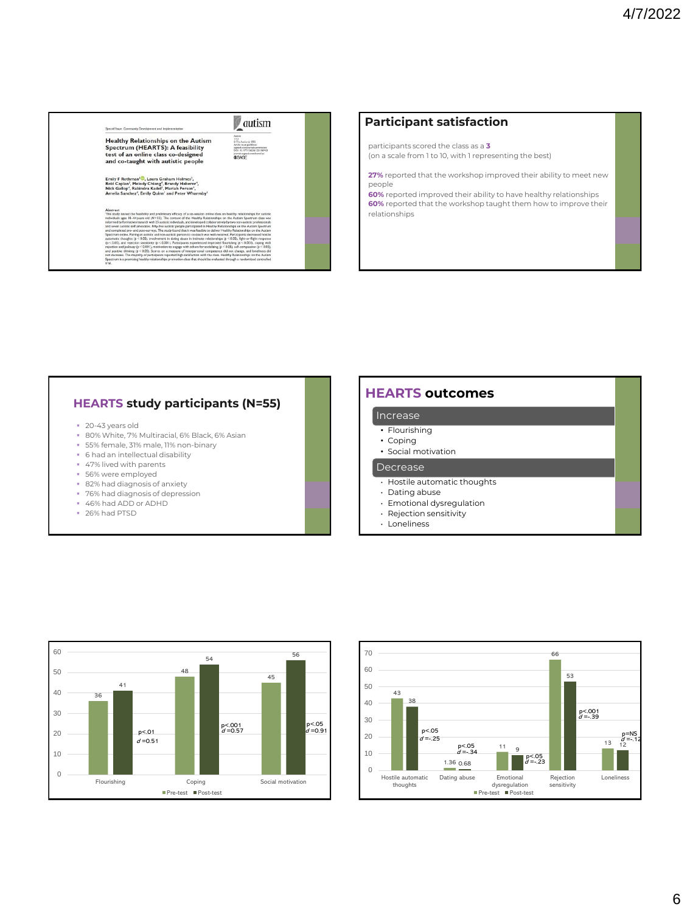# autism Healthy Relationships on the Autism<br>Spectrum (HEARTS): A feasibility<br>test of an online class co-designed<br>and co-taught with autistic people Emily F Rothman<sup>i (O</sup>, Laura Graham Holmes<sup>2</sup>,<br>Reid Caplan<sup>3</sup>, Melody Chiang<sup>4</sup>, Brandy Haberer<sup>4</sup>,<br>Nick Gallop<sup>4</sup>, Rabindra Kadel<sup>1</sup>, Mariah Person<sup>4</sup>,<br>Amelia Sanchez<sup>4</sup>, Emily Quinn<sup>1</sup> and Peter Whar and preliminary efficients<br>(N=55). The contents es - to--syears one (v= >>). The contem or one meanury wears<br>ormative research with 25 autostic individuals, and developed colli<br>distic self-advocates. Pifty-five autosic people participated in Hea<br>d pre- and post-surveys. east pre- and post-surveys. Ine stop yound matter was<br>entire, Pairing an autristic and non-autristic person to co-<br>thoughts (p  $\leq$  0.05), involvement in disting abuse in int<br>and rejection sensitivity (p  $\leq$  0.001)). P

## **Participant satisfaction**

participants scored the class as a **3** (on a scale from 1 to 10, with 1 representing the best)

**27%** reported that the workshop improved their ability to meet new people

**60%** reported improved their ability to have healthy relationships **60%** reported that the workshop taught them how to improve their relationships

## **HEARTS study participants (N=55)**

- 20-43 years old
- 80% White, 7% Multiracial, 6% Black, 6% Asian
- 55% female, 31% male, 11% non-binary
- 6 had an intellectual disability
- 47% lived with parents
- 56% were employed
- 82% had diagnosis of anxiety
- 76% had diagnosis of depression
- 46% had ADD or ADHD
- 26% had PTSD

## **HEARTS outcomes**

#### Increase

- Flourishing
- Coping
- Social motivation

#### Decrease

- Hostile automatic thoughts
- Dating abuse
- Emotional dysregulation
- Rejection sensitivity





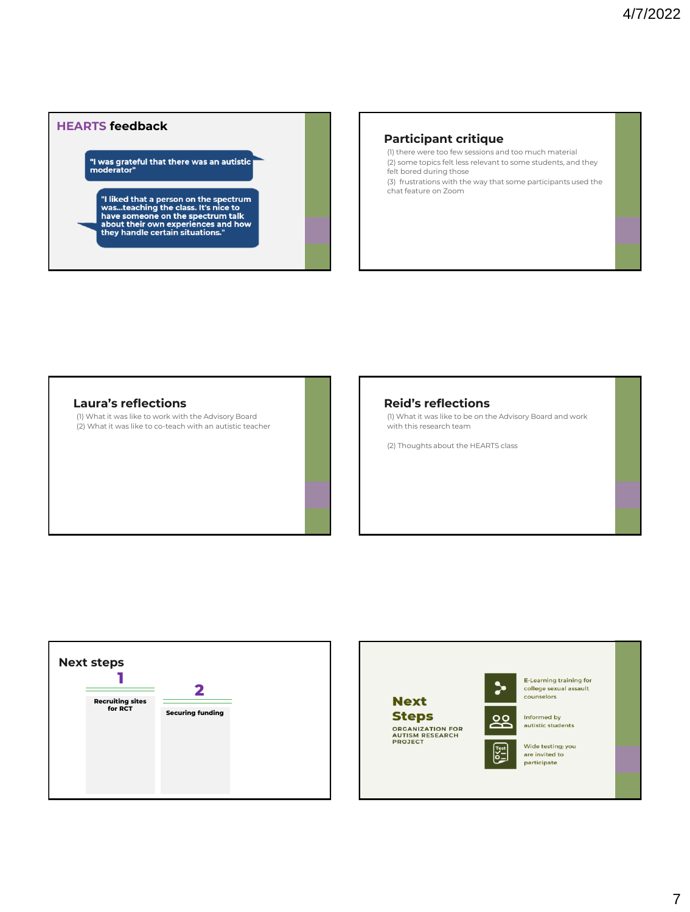## **HEARTS feedback**

|<br>"I was grateful that there was an autistic<br>| moderator"

"I liked that a person on the spectrum<br>was...teaching the class. It's nice to<br>have someone on the spectrum talk<br>about their own experiences and how<br>they handle certain situations."

### **Participant critique**

(1) there were too few sessions and too much material (2) some topics felt less relevant to some students, and they felt bored during those (3) frustrations with the way that some participants used the chat feature on Zoom

### **Laura's reflections**

(1) What it was like to work with the Advisory Board (2) What it was like to co-teach with an autistic teacher

### **Reid's reflections**

(1) What it was like to be on the Advisory Board and work with this research team

(2) Thoughts about the HEARTS class